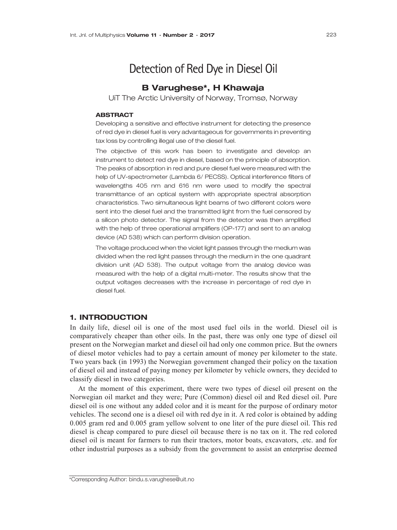# Detection of Red Dye in Diesel Oil

# B Varughese\*, H Khawaja

UiT The Arctic University of Norway, Tromsø, Norway

#### **ABSTRACT**

Developing a sensitive and effective instrument for detecting the presence of red dye in diesel fuel is very advantageous for governments in preventing tax loss by controlling illegal use of the diesel fuel.

The objective of this work has been to investigate and develop an instrument to detect red dye in diesel, based on the principle of absorption. The peaks of absorption in red and pure diesel fuel were measured with the help of UV-spectrometer (Lambda 6/ PECSS). Optical interference filters of wavelengths 405 nm and 616 nm were used to modify the spectral transmittance of an optical system with appropriate spectral absorption characteristics. Two simultaneous light beams of two different colors were sent into the diesel fuel and the transmitted light from the fuel censored by a silicon photo detector. The signal from the detector was then amplified with the help of three operational amplifiers (OP-177) and sent to an analog device (AD 538) which can perform division operation.

The voltage produced when the violet light passes through the medium was divided when the red light passes through the medium in the one quadrant division unit (AD 538). The output voltage from the analog device was measured with the help of a digital multi-meter. The results show that the output voltages decreases with the increase in percentage of red dye in diesel fuel.

# 1. INTRODUCTION

In daily life, diesel oil is one of the most used fuel oils in the world. Diesel oil is comparatively cheaper than other oils. In the past, there was only one type of diesel oil present on the Norwegian market and diesel oil had only one common price. But the owners of diesel motor vehicles had to pay a certain amount of money per kilometer to the state. Two years back (in 1993) the Norwegian government changed their policy on the taxation of diesel oil and instead of paying money per kilometer by vehicle owners, they decided to classify diesel in two categories.

At the moment of this experiment, there were two types of diesel oil present on the Norwegian oil market and they were; Pure (Common) diesel oil and Red diesel oil. Pure diesel oil is one without any added color and it is meant for the purpose of ordinary motor vehicles. The second one is a diesel oil with red dye in it. A red color is obtained by adding 0.005 gram red and 0.005 gram yellow solvent to one liter of the pure diesel oil. This red diesel is cheap compared to pure diesel oil because there is no tax on it. The red colored diesel oil is meant for farmers to run their tractors, motor boats, excavators, .etc. and for other industrial purposes as a subsidy from the government to assist an enterprise deemed

\_\_\_\_\_\_\_\_\_\_\_\_\_\_\_\_\_\_\_\_\_\_\_\_\_\_\_\_\_\_\_\_\_\_\_

<sup>\*</sup>Corresponding Author: bindu.s.varughese@uit.no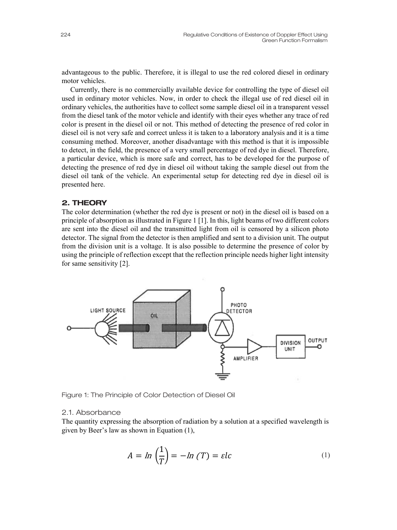advantageous to the public. Therefore, it is illegal to use the red colored diesel in ordinary motor vehicles.

Currently, there is no commercially available device for controlling the type of diesel oil used in ordinary motor vehicles. Now, in order to check the illegal use of red diesel oil in ordinary vehicles, the authorities have to collect some sample diesel oil in a transparent vessel from the diesel tank of the motor vehicle and identify with their eyes whether any trace of red color is present in the diesel oil or not. This method of detecting the presence of red color in diesel oil is not very safe and correct unless it is taken to a laboratory analysis and it is a time consuming method. Moreover, another disadvantage with this method is that it is impossible to detect, in the field, the presence of a very small percentage of red dye in diesel. Therefore, a particular device, which is more safe and correct, has to be developed for the purpose of detecting the presence of red dye in diesel oil without taking the sample diesel out from the diesel oil tank of the vehicle. An experimental setup for detecting red dye in diesel oil is presented here.

## 2. THEORY

The color determination (whether the red dye is present or not) in the diesel oil is based on a principle of absorption as illustrated in Figure 1 [1]. In this, light beams of two different colors are sent into the diesel oil and the transmitted light from oil is censored by a silicon photo detector. The signal from the detector is then amplified and sent to a division unit. The output from the division unit is a voltage. It is also possible to determine the presence of color by using the principle of reflection except that the reflection principle needs higher light intensity for same sensitivity [2].



Figure 1: The Principle of Color Detection of Diesel Oil

# 2.1. Absorbance

The quantity expressing the absorption of radiation by a solution at a specified wavelength is given by Beer's law as shown in Equation (1),

$$
A = \ln\left(\frac{1}{T}\right) = -\ln(T) = \varepsilon lc \tag{1}
$$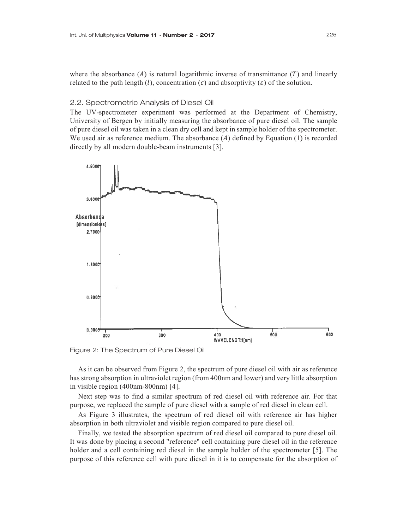where the absorbance  $(A)$  is natural logarithmic inverse of transmittance  $(T)$  and linearly related to the path length (*l*), concentration (*c*) and absorptivity ( $\varepsilon$ ) of the solution.

#### 2.2. Spectrometric Analysis of Diesel Oil

The UV-spectrometer experiment was performed at the Department of Chemistry, University of Bergen by initially measuring the absorbance of pure diesel oil. The sample of pure diesel oil was taken in a clean dry cell and kept in sample holder of the spectrometer. We used air as reference medium. The absorbance  $(A)$  defined by Equation  $(1)$  is recorded directly by all modern double-beam instruments [3].



Figure 2: The Spectrum of Pure Diesel Oil

As it can be observed from Figure 2, the spectrum of pure diesel oil with air as reference has strong absorption in ultraviolet region (from 400nm and lower) and very little absorption in visible region (400nm-800nm) [4].

Next step was to find a similar spectrum of red diesel oil with reference air. For that purpose, we replaced the sample of pure diesel with a sample of red diesel in clean cell.

As Figure 3 illustrates, the spectrum of red diesel oil with reference air has higher absorption in both ultraviolet and visible region compared to pure diesel oil.

Finally, we tested the absorption spectrum of red diesel oil compared to pure diesel oil. It was done by placing a second "reference" cell containing pure diesel oil in the reference holder and a cell containing red diesel in the sample holder of the spectrometer [5]. The purpose of this reference cell with pure diesel in it is to compensate for the absorption of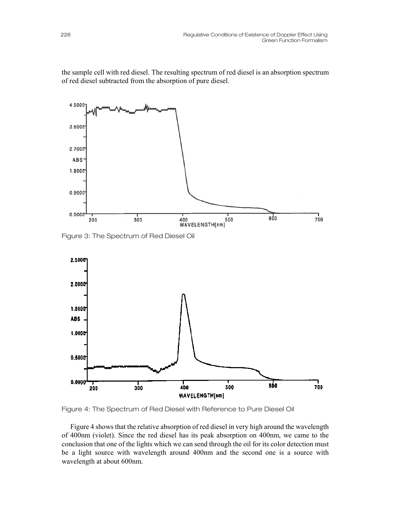the sample cell with red diesel. The resulting spectrum of red diesel is an absorption spectrum of red diesel subtracted from the absorption of pure diesel.



Figure 3: The Spectrum of Red Diesel Oil



Figure 4: The Spectrum of Red Diesel with Reference to Pure Diesel Oil

Figure 4 shows that the relative absorption of red diesel in very high around the wavelength of 400nm (violet). Since the red diesel has its peak absorption on 400nm, we came to the conclusion that one of the lights which we can send through the oil for its color detection must be a light source with wavelength around 400nm and the second one is a source with wavelength at about 600nm.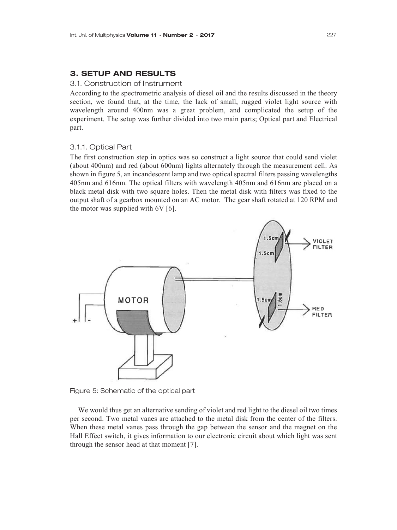# 3. SETUP AND RESULTS

#### 3.1. Construction of Instrument

According to the spectrometric analysis of diesel oil and the results discussed in the theory section, we found that, at the time, the lack of small, rugged violet light source with wavelength around 400nm was a great problem, and complicated the setup of the experiment. The setup was further divided into two main parts; Optical part and Electrical part.

#### 3.1.1. Optical Part

The first construction step in optics was so construct a light source that could send violet (about 400nm) and red (about 600nm) lights alternately through the measurement cell. As shown in figure 5, an incandescent lamp and two optical spectral filters passing wavelengths 405nm and 616nm. The optical filters with wavelength 405nm and 616nm are placed on a black metal disk with two square holes. Then the metal disk with filters was fixed to the output shaft of a gearbox mounted on an AC motor. The gear shaft rotated at 120 RPM and the motor was supplied with 6V [6].



Figure 5: Schematic of the optical part

We would thus get an alternative sending of violet and red light to the diesel oil two times per second. Two metal vanes are attached to the metal disk from the center of the filters. When these metal vanes pass through the gap between the sensor and the magnet on the Hall Effect switch, it gives information to our electronic circuit about which light was sent through the sensor head at that moment [7].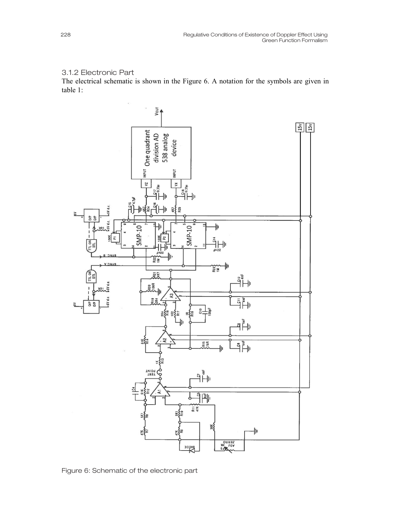# 3.1.2 Electronic Part

The electrical schematic is shown in the Figure 6. A notation for the symbols are given in table 1:



Figure 6: Schematic of the electronic part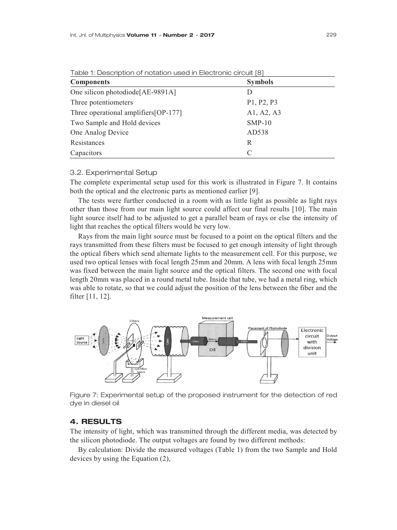| I able 1: Description of notation used in Electronic circuit [8] |                |  |  |  |  |
|------------------------------------------------------------------|----------------|--|--|--|--|
| <b>Components</b>                                                | <b>Symbols</b> |  |  |  |  |
| One silicon photodiode[AE-9891A]                                 | Ð              |  |  |  |  |
| Three potentiometers                                             | P1, P2, P3     |  |  |  |  |
| Three operational amplifiers [OP-177]                            | A1, A2, A3     |  |  |  |  |
| Two Sample and Hold devices                                      | $SMP-10$       |  |  |  |  |
| One Analog Device                                                | AD538          |  |  |  |  |
| Resistances                                                      | R              |  |  |  |  |
| Capacitors                                                       | C              |  |  |  |  |

Table 1: Description of notation used in Electronic circuit [8]

### 3.2. Experimental Setup

The complete experimental setup used for this work is illustrated in Figure 7. It contains both the optical and the electronic parts as mentioned earlier [9].

The tests were further conducted in a room with as little light as possible as light rays other than those from our main light source could affect our final results [10]. The main light source itself had to be adjusted to get a parallel beam of rays or else the intensity of light that reaches the optical filters would be very low.

Rays from the main light source must be focused to a point on the optical filters and the rays transmitted from these filters must be focused to get enough intensity of light through the optical fibers which send alternate lights to the measurement cell. For this purpose, we used two optical lenses with focal length 25mm and 20mm. A lens with focal length 25mm was fixed between the main light source and the optical filters. The second one with focal length 20mm was placed in a round metal tube. Inside that tube, we had a metal ring, which was able to rotate, so that we could adjust the position of the lens between the fiber and the filter [11, 12].



Figure 7: Experimental setup of the proposed instrument for the detection of red dye in diesel oil

#### 4. RESULTS

The intensity of light, which was transmitted through the different media, was detected by the silicon photodiode. The output voltages are found by two different methods:

By calculation: Divide the measured voltages (Table 1) from the two Sample and Hold devices by using the Equation (2),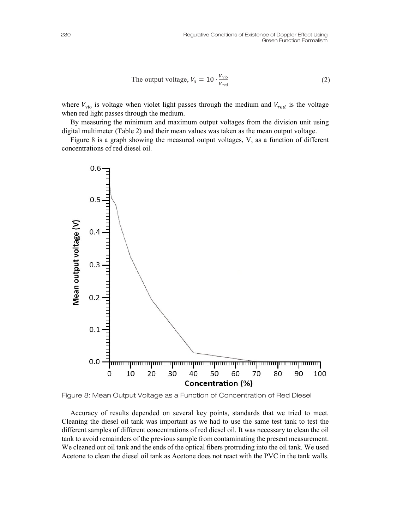The output voltage, 
$$
V_o = 10 \cdot \frac{V_{\text{vio}}}{V_{\text{red}}}
$$
 (2)

where  $V_{\text{vio}}$  is voltage when violet light passes through the medium and  $V_{\text{red}}$  is the voltage when red light passes through the medium.

By measuring the minimum and maximum output voltages from the division unit using digital multimeter (Table 2) and their mean values was taken as the mean output voltage.

Figure 8 is a graph showing the measured output voltages, V, as a function of different concentrations of red diesel oil.



Figure 8: Mean Output Voltage as a Function of Concentration of Red Diesel

Accuracy of results depended on several key points, standards that we tried to meet. Cleaning the diesel oil tank was important as we had to use the same test tank to test the different samples of different concentrations of red diesel oil. It was necessary to clean the oil tank to avoid remainders of the previous sample from contaminating the present measurement. We cleaned out oil tank and the ends of the optical fibers protruding into the oil tank. We used Acetone to clean the diesel oil tank as Acetone does not react with the PVC in the tank walls.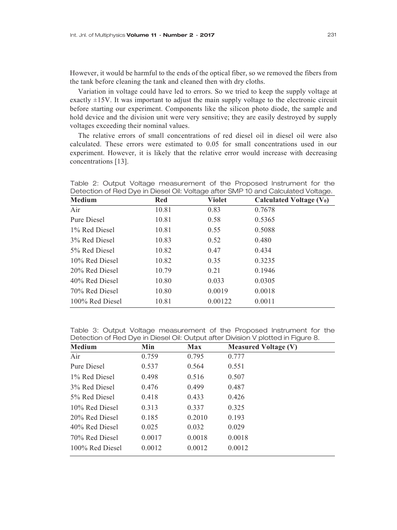However, it would be harmful to the ends of the optical fiber, so we removed the fibers from the tank before cleaning the tank and cleaned then with dry cloths.

Variation in voltage could have led to errors. So we tried to keep the supply voltage at exactly  $\pm 15V$ . It was important to adjust the main supply voltage to the electronic circuit before starting our experiment. Components like the silicon photo diode, the sample and hold device and the division unit were very sensitive; they are easily destroyed by supply voltages exceeding their nominal values.

The relative errors of small concentrations of red diesel oil in diesel oil were also calculated. These errors were estimated to 0.05 for small concentrations used in our experiment. However, it is likely that the relative error would increase with decreasing concentrations [13].

| Detection on hearbye in Dieser Oil. Voltage after Oivin To and Oalcillated Voltage. |       |         |                            |  |  |  |
|-------------------------------------------------------------------------------------|-------|---------|----------------------------|--|--|--|
| Medium                                                                              | Red   | Violet  | Calculated Voltage $(V_0)$ |  |  |  |
| Air                                                                                 | 10.81 | 0.83    | 0.7678                     |  |  |  |
| Pure Diesel                                                                         | 10.81 | 0.58    | 0.5365                     |  |  |  |
| 1% Red Diesel                                                                       | 10.81 | 0.55    | 0.5088                     |  |  |  |
| 3% Red Diesel                                                                       | 10.83 | 0.52    | 0.480                      |  |  |  |
| 5% Red Diesel                                                                       | 10.82 | 0.47    | 0.434                      |  |  |  |
| 10% Red Diesel                                                                      | 10.82 | 0.35    | 0.3235                     |  |  |  |
| 20% Red Diesel                                                                      | 10.79 | 0.21    | 0.1946                     |  |  |  |
| 40% Red Diesel                                                                      | 10.80 | 0.033   | 0.0305                     |  |  |  |
| 70% Red Diesel                                                                      | 10.80 | 0.0019  | 0.0018                     |  |  |  |
| 100% Red Diesel                                                                     | 10.81 | 0.00122 | 0.0011                     |  |  |  |
|                                                                                     |       |         |                            |  |  |  |

Table 2: Output Voltage measurement of the Proposed Instrument for the Detection of Red Dye in Diesel Oil: Voltage after SMP 10 and Calculated Voltage.

Table 3: Output Voltage measurement of the Proposed Instrument for the Detection of Red Dye in Diesel Oil: Output after Division V plotted in Figure 8.

| Medium          | Min    | Max    | <b>Measured Voltage (V)</b> |  |
|-----------------|--------|--------|-----------------------------|--|
| Air             | 0.759  | 0.795  | 0.777                       |  |
| Pure Diesel     | 0.537  | 0.564  | 0.551                       |  |
| 1% Red Diesel   | 0.498  | 0.516  | 0.507                       |  |
| 3% Red Diesel   | 0.476  | 0.499  | 0.487                       |  |
| 5% Red Diesel   | 0.418  | 0.433  | 0.426                       |  |
| 10% Red Diesel  | 0.313  | 0.337  | 0.325                       |  |
| 20% Red Diesel  | 0.185  | 0.2010 | 0.193                       |  |
| 40% Red Diesel  | 0.025  | 0.032  | 0.029                       |  |
| 70% Red Diesel  | 0.0017 | 0.0018 | 0.0018                      |  |
| 100% Red Diesel | 0.0012 | 0.0012 | 0.0012                      |  |
|                 |        |        |                             |  |